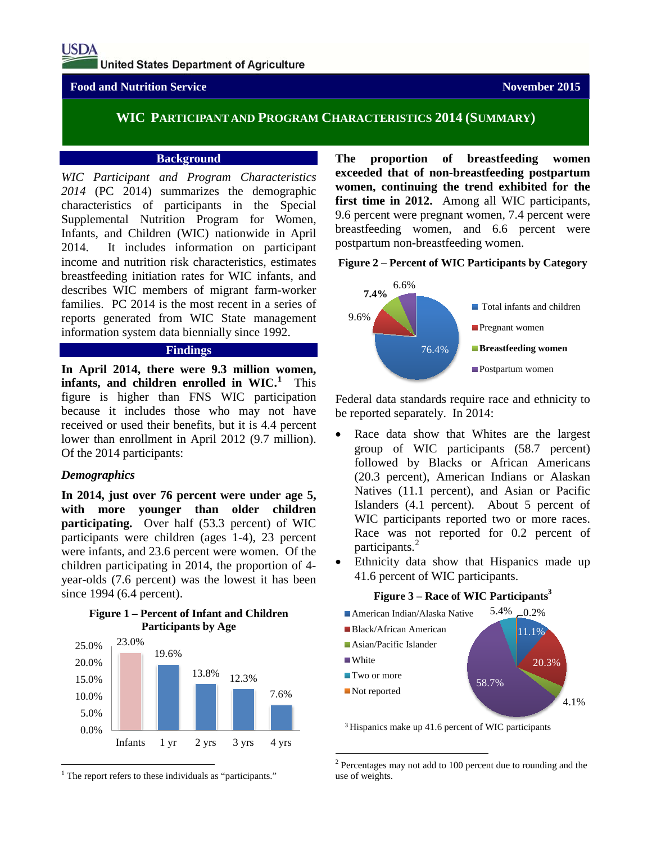## **Food and Nutrition Service November 2015**

# **WIC PARTICIPANT AND PROGRAM CHARACTERISTICS 2014 (SUMMARY)**

### **Background**

*WIC Participant and Program Characteristics 2014* (PC 2014) summarizes the demographic characteristics of participants in the Special Supplemental Nutrition Program for Women, Infants, and Children (WIC) nationwide in April 2014. It includes information on participant income and nutrition risk characteristics, estimates breastfeeding initiation rates for WIC infants, and describes WIC members of migrant farm-worker families. PC 2014 is the most recent in a series of reports generated from WIC State management information system data biennially since 1992.

### **Findings**

**In April 2014, there were 9.3 million women,**  infants, and children enrolled in WIC.<sup>[1](#page-0-0)</sup> This figure is higher than FNS WIC participation because it includes those who may not have received or used their benefits, but it is 4.4 percent lower than enrollment in April 2012 (9.7 million). Of the 2014 participants:

## *Demographics*

**In 2014, just over 76 percent were under age 5, with more younger than older children participating.** Over half (53.3 percent) of WIC participants were children (ages 1-4), 23 percent were infants, and 23.6 percent were women. Of the children participating in 2014, the proportion of 4 year-olds (7.6 percent) was the lowest it has been since 1994 (6.4 percent).

#### **Figure 1 – Percent of Infant and Children Participants by Age**



<span id="page-0-1"></span><span id="page-0-0"></span> $<sup>1</sup>$  The report refers to these individuals as "participants."</sup>

**The proportion of breastfeeding women exceeded that of non-breastfeeding postpartum women, continuing the trend exhibited for the first time in 2012.** Among all WIC participants, 9.6 percent were pregnant women, 7.4 percent were breastfeeding women, and 6.6 percent were postpartum non-breastfeeding women.

## **Figure 2 – Percent of WIC Participants by Category**



Federal data standards require race and ethnicity to be reported separately. In 2014:

- Race data show that Whites are the largest group of WIC participants (58.7 percent) followed by Blacks or African Americans (20.3 percent), American Indians or Alaskan Natives (11.1 percent), and Asian or Pacific Islanders (4.1 percent). About 5 percent of WIC participants reported two or more races. Race was not reported for 0.2 percent of participants. [2](#page-0-1)
- Ethnicity data show that Hispanics made up 41.6 percent of WIC participants.

#### **Figure 3 – Race of WIC Participants**<sup>3</sup>



3 Hispanics make up 41.6 percent of WIC participants

 <sup>2</sup> Percentages may not add to 100 percent due to rounding and the use of weights.